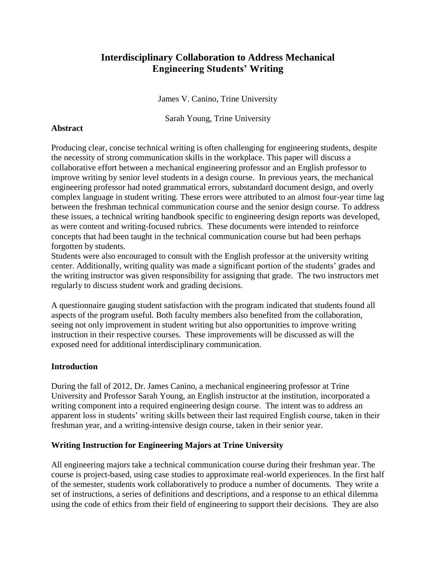# **Interdisciplinary Collaboration to Address Mechanical Engineering Students' Writing**

James V. Canino, Trine University

Sarah Young, Trine University

#### **Abstract**

Producing clear, concise technical writing is often challenging for engineering students, despite the necessity of strong communication skills in the workplace. This paper will discuss a collaborative effort between a mechanical engineering professor and an English professor to improve writing by senior level students in a design course. In previous years, the mechanical engineering professor had noted grammatical errors, substandard document design, and overly complex language in student writing. These errors were attributed to an almost four-year time lag between the freshman technical communication course and the senior design course. To address these issues, a technical writing handbook specific to engineering design reports was developed, as were content and writing-focused rubrics. These documents were intended to reinforce concepts that had been taught in the technical communication course but had been perhaps forgotten by students.

Students were also encouraged to consult with the English professor at the university writing center. Additionally, writing quality was made a significant portion of the students' grades and the writing instructor was given responsibility for assigning that grade. The two instructors met regularly to discuss student work and grading decisions.

A questionnaire gauging student satisfaction with the program indicated that students found all aspects of the program useful. Both faculty members also benefited from the collaboration, seeing not only improvement in student writing but also opportunities to improve writing instruction in their respective courses. These improvements will be discussed as will the exposed need for additional interdisciplinary communication.

#### **Introduction**

During the fall of 2012, Dr. James Canino, a mechanical engineering professor at Trine University and Professor Sarah Young, an English instructor at the institution, incorporated a writing component into a required engineering design course. The intent was to address an apparent loss in students' writing skills between their last required English course, taken in their freshman year, and a writing-intensive design course, taken in their senior year.

#### **Writing Instruction for Engineering Majors at Trine University**

All engineering majors take a technical communication course during their freshman year. The course is project-based, using case studies to approximate real-world experiences. In the first half of the semester, students work collaboratively to produce a number of documents. They write a set of instructions, a series of definitions and descriptions, and a response to an ethical dilemma using the code of ethics from their field of engineering to support their decisions. They are also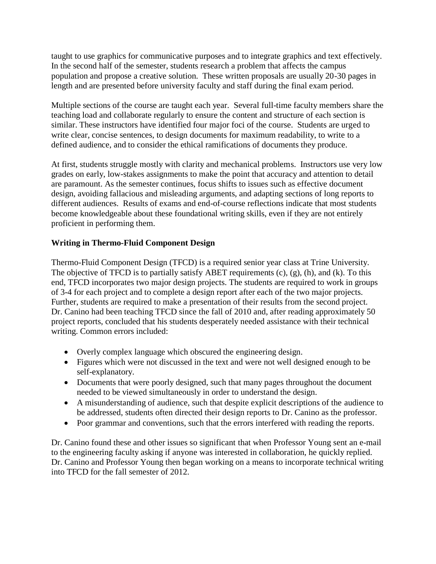taught to use graphics for communicative purposes and to integrate graphics and text effectively. In the second half of the semester, students research a problem that affects the campus population and propose a creative solution. These written proposals are usually 20-30 pages in length and are presented before university faculty and staff during the final exam period.

Multiple sections of the course are taught each year. Several full-time faculty members share the teaching load and collaborate regularly to ensure the content and structure of each section is similar. These instructors have identified four major foci of the course. Students are urged to write clear, concise sentences, to design documents for maximum readability, to write to a defined audience, and to consider the ethical ramifications of documents they produce.

At first, students struggle mostly with clarity and mechanical problems. Instructors use very low grades on early, low-stakes assignments to make the point that accuracy and attention to detail are paramount. As the semester continues, focus shifts to issues such as effective document design, avoiding fallacious and misleading arguments, and adapting sections of long reports to different audiences. Results of exams and end-of-course reflections indicate that most students become knowledgeable about these foundational writing skills, even if they are not entirely proficient in performing them.

## **Writing in Thermo-Fluid Component Design**

Thermo-Fluid Component Design (TFCD) is a required senior year class at Trine University. The objective of TFCD is to partially satisfy ABET requirements (c), (g), (h), and (k). To this end, TFCD incorporates two major design projects. The students are required to work in groups of 3-4 for each project and to complete a design report after each of the two major projects. Further, students are required to make a presentation of their results from the second project. Dr. Canino had been teaching TFCD since the fall of 2010 and, after reading approximately 50 project reports, concluded that his students desperately needed assistance with their technical writing. Common errors included:

- Overly complex language which obscured the engineering design.
- Figures which were not discussed in the text and were not well designed enough to be self-explanatory.
- Documents that were poorly designed, such that many pages throughout the document needed to be viewed simultaneously in order to understand the design.
- A misunderstanding of audience, such that despite explicit descriptions of the audience to be addressed, students often directed their design reports to Dr. Canino as the professor.
- Poor grammar and conventions, such that the errors interfered with reading the reports.

Dr. Canino found these and other issues so significant that when Professor Young sent an e-mail to the engineering faculty asking if anyone was interested in collaboration, he quickly replied. Dr. Canino and Professor Young then began working on a means to incorporate technical writing into TFCD for the fall semester of 2012.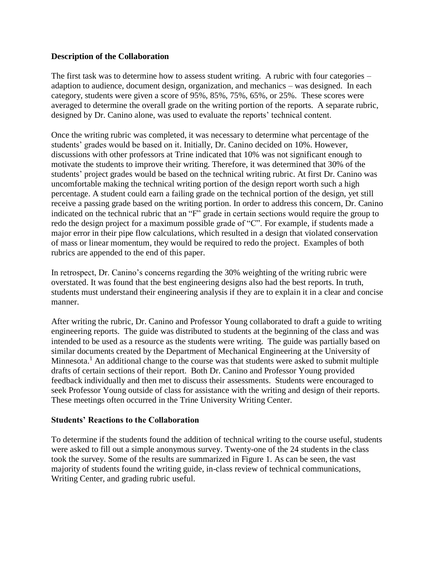#### **Description of the Collaboration**

The first task was to determine how to assess student writing. A rubric with four categories – adaption to audience, document design, organization, and mechanics – was designed. In each category, students were given a score of 95%, 85%, 75%, 65%, or 25%. These scores were averaged to determine the overall grade on the writing portion of the reports. A separate rubric, designed by Dr. Canino alone, was used to evaluate the reports' technical content.

Once the writing rubric was completed, it was necessary to determine what percentage of the students' grades would be based on it. Initially, Dr. Canino decided on 10%. However, discussions with other professors at Trine indicated that 10% was not significant enough to motivate the students to improve their writing. Therefore, it was determined that 30% of the students' project grades would be based on the technical writing rubric. At first Dr. Canino was uncomfortable making the technical writing portion of the design report worth such a high percentage. A student could earn a failing grade on the technical portion of the design, yet still receive a passing grade based on the writing portion. In order to address this concern, Dr. Canino indicated on the technical rubric that an "F" grade in certain sections would require the group to redo the design project for a maximum possible grade of "C". For example, if students made a major error in their pipe flow calculations, which resulted in a design that violated conservation of mass or linear momentum, they would be required to redo the project. Examples of both rubrics are appended to the end of this paper.

In retrospect, Dr. Canino's concerns regarding the 30% weighting of the writing rubric were overstated. It was found that the best engineering designs also had the best reports. In truth, students must understand their engineering analysis if they are to explain it in a clear and concise manner.

After writing the rubric, Dr. Canino and Professor Young collaborated to draft a guide to writing engineering reports. The guide was distributed to students at the beginning of the class and was intended to be used as a resource as the students were writing. The guide was partially based on similar documents created by the Department of Mechanical Engineering at the University of Minnesota.<sup>1</sup> An additional change to the course was that students were asked to submit multiple drafts of certain sections of their report. Both Dr. Canino and Professor Young provided feedback individually and then met to discuss their assessments. Students were encouraged to seek Professor Young outside of class for assistance with the writing and design of their reports. These meetings often occurred in the Trine University Writing Center.

#### **Students' Reactions to the Collaboration**

To determine if the students found the addition of technical writing to the course useful, students were asked to fill out a simple anonymous survey. Twenty-one of the 24 students in the class took the survey. Some of the results are summarized in [Figure 1.](#page-3-0) As can be seen, the vast majority of students found the writing guide, in-class review of technical communications, Writing Center, and grading rubric useful.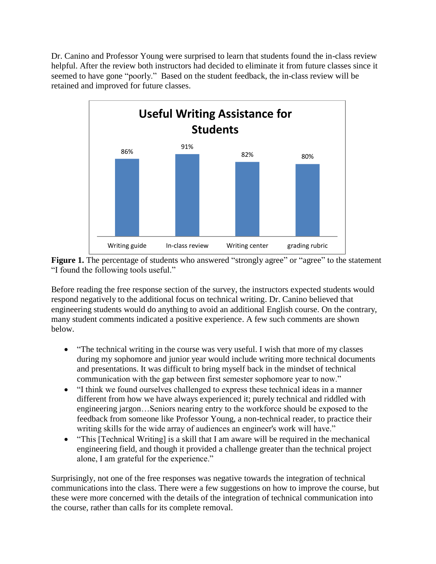Dr. Canino and Professor Young were surprised to learn that students found the in-class review helpful. After the review both instructors had decided to eliminate it from future classes since it seemed to have gone "poorly." Based on the student feedback, the in-class review will be retained and improved for future classes.



<span id="page-3-0"></span>

Before reading the free response section of the survey, the instructors expected students would respond negatively to the additional focus on technical writing. Dr. Canino believed that engineering students would do anything to avoid an additional English course. On the contrary, many student comments indicated a positive experience. A few such comments are shown below.

- "The technical writing in the course was very useful. I wish that more of my classes during my sophomore and junior year would include writing more technical documents and presentations. It was difficult to bring myself back in the mindset of technical communication with the gap between first semester sophomore year to now."
- "I think we found ourselves challenged to express these technical ideas in a manner different from how we have always experienced it; purely technical and riddled with engineering jargon…Seniors nearing entry to the workforce should be exposed to the feedback from someone like Professor Young, a non-technical reader, to practice their writing skills for the wide array of audiences an engineer's work will have."
- "This [Technical Writing] is a skill that I am aware will be required in the mechanical engineering field, and though it provided a challenge greater than the technical project alone, I am grateful for the experience."

Surprisingly, not one of the free responses was negative towards the integration of technical communications into the class. There were a few suggestions on how to improve the course, but these were more concerned with the details of the integration of technical communication into the course, rather than calls for its complete removal.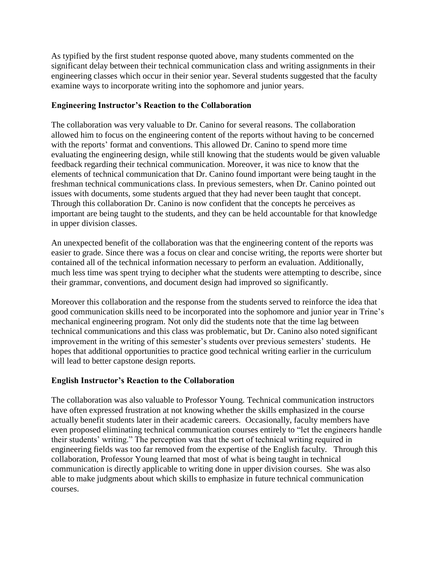As typified by the first student response quoted above, many students commented on the significant delay between their technical communication class and writing assignments in their engineering classes which occur in their senior year. Several students suggested that the faculty examine ways to incorporate writing into the sophomore and junior years.

#### **Engineering Instructor's Reaction to the Collaboration**

The collaboration was very valuable to Dr. Canino for several reasons. The collaboration allowed him to focus on the engineering content of the reports without having to be concerned with the reports' format and conventions. This allowed Dr. Canino to spend more time evaluating the engineering design, while still knowing that the students would be given valuable feedback regarding their technical communication. Moreover, it was nice to know that the elements of technical communication that Dr. Canino found important were being taught in the freshman technical communications class. In previous semesters, when Dr. Canino pointed out issues with documents, some students argued that they had never been taught that concept. Through this collaboration Dr. Canino is now confident that the concepts he perceives as important are being taught to the students, and they can be held accountable for that knowledge in upper division classes.

An unexpected benefit of the collaboration was that the engineering content of the reports was easier to grade. Since there was a focus on clear and concise writing, the reports were shorter but contained all of the technical information necessary to perform an evaluation. Additionally, much less time was spent trying to decipher what the students were attempting to describe, since their grammar, conventions, and document design had improved so significantly.

Moreover this collaboration and the response from the students served to reinforce the idea that good communication skills need to be incorporated into the sophomore and junior year in Trine's mechanical engineering program. Not only did the students note that the time lag between technical communications and this class was problematic, but Dr. Canino also noted significant improvement in the writing of this semester's students over previous semesters' students. He hopes that additional opportunities to practice good technical writing earlier in the curriculum will lead to better capstone design reports.

### **English Instructor's Reaction to the Collaboration**

The collaboration was also valuable to Professor Young. Technical communication instructors have often expressed frustration at not knowing whether the skills emphasized in the course actually benefit students later in their academic careers. Occasionally, faculty members have even proposed eliminating technical communication courses entirely to "let the engineers handle their students' writing." The perception was that the sort of technical writing required in engineering fields was too far removed from the expertise of the English faculty. Through this collaboration, Professor Young learned that most of what is being taught in technical communication is directly applicable to writing done in upper division courses. She was also able to make judgments about which skills to emphasize in future technical communication courses.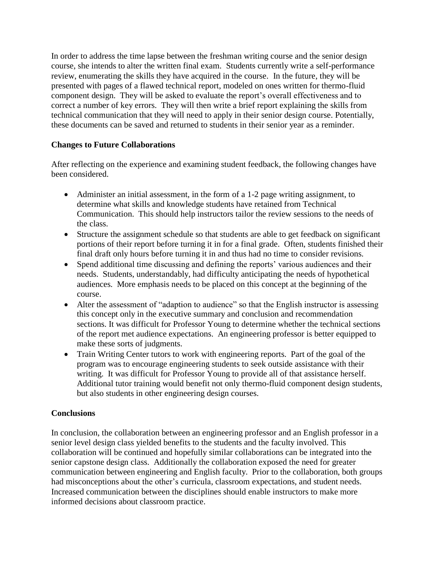In order to address the time lapse between the freshman writing course and the senior design course, she intends to alter the written final exam. Students currently write a self-performance review, enumerating the skills they have acquired in the course. In the future, they will be presented with pages of a flawed technical report, modeled on ones written for thermo-fluid component design. They will be asked to evaluate the report's overall effectiveness and to correct a number of key errors. They will then write a brief report explaining the skills from technical communication that they will need to apply in their senior design course. Potentially, these documents can be saved and returned to students in their senior year as a reminder.

#### **Changes to Future Collaborations**

After reflecting on the experience and examining student feedback, the following changes have been considered.

- Administer an initial assessment, in the form of a 1-2 page writing assignment, to determine what skills and knowledge students have retained from Technical Communication. This should help instructors tailor the review sessions to the needs of the class.
- Structure the assignment schedule so that students are able to get feedback on significant portions of their report before turning it in for a final grade. Often, students finished their final draft only hours before turning it in and thus had no time to consider revisions.
- Spend additional time discussing and defining the reports' various audiences and their needs. Students, understandably, had difficulty anticipating the needs of hypothetical audiences. More emphasis needs to be placed on this concept at the beginning of the course.
- Alter the assessment of "adaption to audience" so that the English instructor is assessing this concept only in the executive summary and conclusion and recommendation sections. It was difficult for Professor Young to determine whether the technical sections of the report met audience expectations. An engineering professor is better equipped to make these sorts of judgments.
- Train Writing Center tutors to work with engineering reports. Part of the goal of the program was to encourage engineering students to seek outside assistance with their writing. It was difficult for Professor Young to provide all of that assistance herself. Additional tutor training would benefit not only thermo-fluid component design students, but also students in other engineering design courses.

### **Conclusions**

In conclusion, the collaboration between an engineering professor and an English professor in a senior level design class yielded benefits to the students and the faculty involved. This collaboration will be continued and hopefully similar collaborations can be integrated into the senior capstone design class. Additionally the collaboration exposed the need for greater communication between engineering and English faculty. Prior to the collaboration, both groups had misconceptions about the other's curricula, classroom expectations, and student needs. Increased communication between the disciplines should enable instructors to make more informed decisions about classroom practice.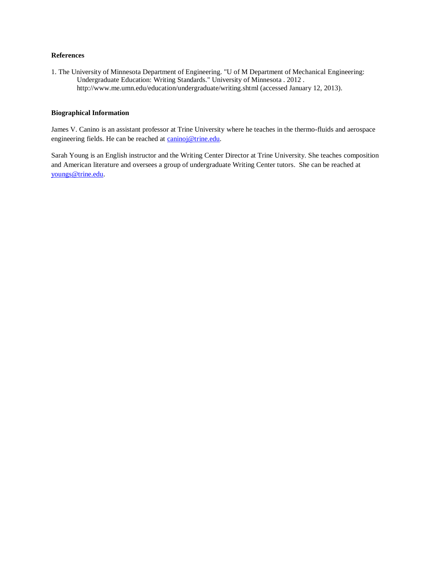#### **References**

1. The University of Minnesota Department of Engineering. "U of M Department of Mechanical Engineering: Undergraduate Education: Writing Standards." University of Minnesota . 2012 . http://www.me.umn.edu/education/undergraduate/writing.shtml (accessed January 12, 2013).

#### **Biographical Information**

James V. Canino is an assistant professor at Trine University where he teaches in the thermo-fluids and aerospace engineering fields. He can be reached at [caninoj@trine.edu.](mailto:caninoj@trine.edu)

Sarah Young is an English instructor and the Writing Center Director at Trine University. She teaches composition and American literature and oversees a group of undergraduate Writing Center tutors. She can be reached at [youngs@trine.edu.](mailto:youngs@trine.edu)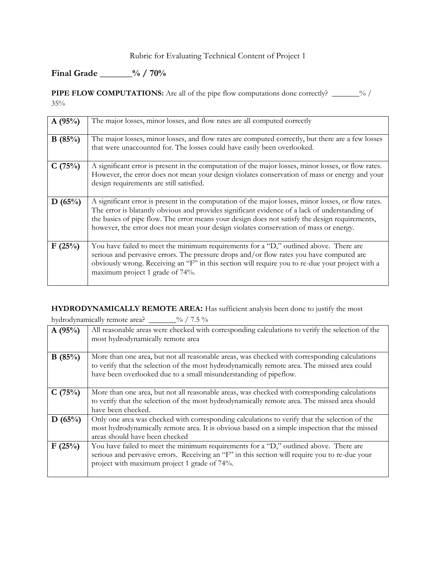### Rubric for Evaluating Technical Content of Project 1

## **Final Grade \_\_\_\_\_\_\_% / 70%**

**PIPE FLOW COMPUTATIONS:** Are all of the pipe flow computations done correctly? \_\_\_\_\_\_% / 35%

| A(95%) | The major losses, minor losses, and flow rates are all computed correctly                                                                                                                                                                                                                                                                                                                        |
|--------|--------------------------------------------------------------------------------------------------------------------------------------------------------------------------------------------------------------------------------------------------------------------------------------------------------------------------------------------------------------------------------------------------|
| B(85%) | The major losses, minor losses, and flow rates are computed correctly, but there are a few losses<br>that were unaccounted for. The losses could have easily been overlooked.                                                                                                                                                                                                                    |
| C(75%) | A significant error is present in the computation of the major losses, minor losses, or flow rates.<br>However, the error does not mean your design violates conservation of mass or energy and your<br>design requirements are still satisfied.                                                                                                                                                 |
| D(65%) | A significant error is present in the computation of the major losses, minor losses, or flow rates.<br>The error is blatantly obvious and provides significant evidence of a lack of understanding of<br>the basics of pipe flow. The error means your design does not satisfy the design requirements,<br>however, the error does not mean your design violates conservation of mass or energy. |
| F(25%) | You have failed to meet the minimum requirements for a "D," outlined above. There are<br>serious and pervasive errors. The pressure drops and/or flow rates you have computed are<br>obviously wrong. Receiving an "F" in this section will require you to re-due your project with a<br>maximum project 1 grade of 74%.                                                                         |

**HYDRODYNAMICALLY REMOTE AREA:** Has sufficient analysis been done to justify the most

hydrodynamically remote area? \_\_\_\_\_\_\_% / 7.5 %

| A(95%) | All reasonable areas were checked with corresponding calculations to verify the selection of the<br>most hydrodynamically remote area                                                                                                                              |
|--------|--------------------------------------------------------------------------------------------------------------------------------------------------------------------------------------------------------------------------------------------------------------------|
| B(85%) | More than one area, but not all reasonable areas, was checked with corresponding calculations<br>to verify that the selection of the most hydrodynamically remote area. The missed area could<br>have been overlooked due to a small misunderstanding of pipeflow. |
| C(75%) | More than one area, but not all reasonable areas, was checked with corresponding calculations<br>to verify that the selection of the most hydrodynamically remote area. The missed area should<br>have been checked.                                               |
| D(65%) | Only one area was checked with corresponding calculations to verify that the selection of the<br>most hydrodynamically remote area. It is obvious based on a simple inspection that the missed<br>areas should have been checked                                   |
| F(25%) | You have failed to meet the minimum requirements for a "D," outlined above. There are<br>serious and pervasive errors. Receiving an "F" in this section will require you to re-due your<br>project with maximum project 1 grade of 74%.                            |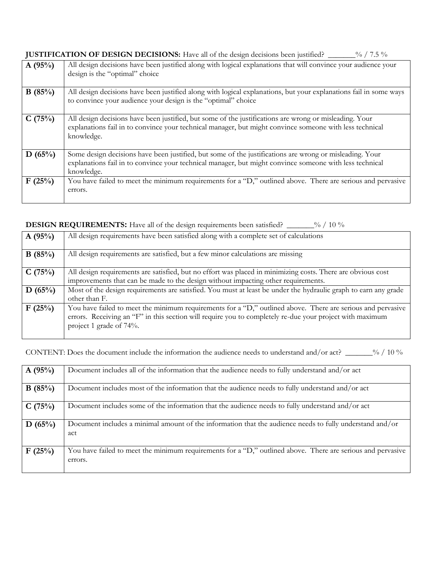**JUSTIFICATION OF DESIGN DECISIONS:** Have all of the design decisions been justified? \_\_\_\_\_\_% / 7.5 %

| A(95%) | All design decisions have been justified along with logical explanations that will convince your audience your<br>design is the "optimal" choice                                                                                 |
|--------|----------------------------------------------------------------------------------------------------------------------------------------------------------------------------------------------------------------------------------|
| B(85%) | All design decisions have been justified along with logical explanations, but your explanations fail in some ways<br>to convince your audience your design is the "optimal" choice                                               |
| C(75%) | All design decisions have been justified, but some of the justifications are wrong or misleading. Your<br>explanations fail in to convince your technical manager, but might convince someone with less technical<br>knowledge.  |
| D(65%) | Some design decisions have been justified, but some of the justifications are wrong or misleading. Your<br>explanations fail in to convince your technical manager, but might convince someone with less technical<br>knowledge. |
| F(25%) | You have failed to meet the minimum requirements for a "D," outlined above. There are serious and pervasive<br>errors.                                                                                                           |

#### **DESIGN REQUIREMENTS:** Have all of the design requirements been satisfied? \_\_\_\_\_\_% / 10 %

| A(95%) | All design requirements have been satisfied along with a complete set of calculations                                                                                                                                                              |
|--------|----------------------------------------------------------------------------------------------------------------------------------------------------------------------------------------------------------------------------------------------------|
| B(85%) | All design requirements are satisfied, but a few minor calculations are missing                                                                                                                                                                    |
| C(75%) | All design requirements are satisfied, but no effort was placed in minimizing costs. There are obvious cost<br>improvements that can be made to the design without impacting other requirements.                                                   |
| D(65%) | Most of the design requirements are satisfied. You must at least be under the hydraulic graph to earn any grade<br>other than F.                                                                                                                   |
| F(25%) | You have failed to meet the minimum requirements for a "D," outlined above. There are serious and pervasive<br>errors. Receiving an "F" in this section will require you to completely re-due your project with maximum<br>project 1 grade of 74%. |

CONTENT: Does the document include the information the audience needs to understand and/or act? \_\_\_\_\_\_\_% / 10 %

| A(95%) | Document includes all of the information that the audience needs to fully understand and/or act                        |
|--------|------------------------------------------------------------------------------------------------------------------------|
| B(85%) | Document includes most of the information that the audience needs to fully understand and/or act                       |
| C(75%) | Document includes some of the information that the audience needs to fully understand and/or act                       |
| D(65%) | Document includes a minimal amount of the information that the audience needs to fully understand and/or<br>act        |
| F(25%) | You have failed to meet the minimum requirements for a "D," outlined above. There are serious and pervasive<br>errors. |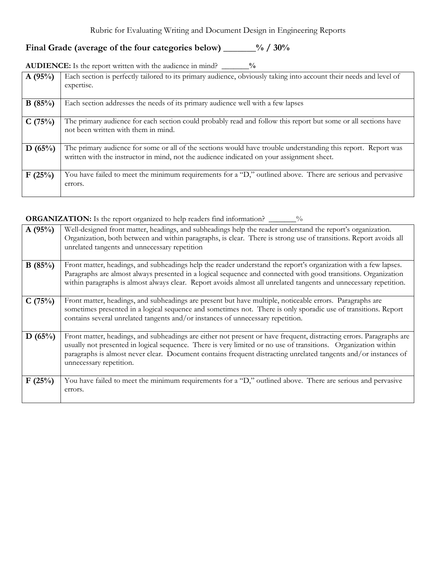# **Final Grade (average of the four categories below) \_\_\_\_\_\_\_% / 30%**

| <b>AUDIENCE:</b> Is the report written with the audience in mind? |  |  | $\frac{0}{0}$ |
|-------------------------------------------------------------------|--|--|---------------|
|-------------------------------------------------------------------|--|--|---------------|

| A(95%) | Each section is perfectly tailored to its primary audience, obviously taking into account their needs and level of                                                                                         |
|--------|------------------------------------------------------------------------------------------------------------------------------------------------------------------------------------------------------------|
|        | expertise.                                                                                                                                                                                                 |
|        |                                                                                                                                                                                                            |
| B(85%) | Each section addresses the needs of its primary audience well with a few lapses                                                                                                                            |
| C(75%) | The primary audience for each section could probably read and follow this report but some or all sections have<br>not been written with them in mind.                                                      |
| D(65%) | The primary audience for some or all of the sections would have trouble understanding this report. Report was<br>written with the instructor in mind, not the audience indicated on your assignment sheet. |
| F(25%) | You have failed to meet the minimum requirements for a "D," outlined above. There are serious and pervasive<br>errors.                                                                                     |

# **ORGANIZATION:** Is the report organized to help readers find information? \_\_\_\_\_\_%

| A(95%) | Well-designed front matter, headings, and subheadings help the reader understand the report's organization.<br>Organization, both between and within paragraphs, is clear. There is strong use of transitions. Report avoids all<br>unrelated tangents and unnecessary repetition                                                                                                   |
|--------|-------------------------------------------------------------------------------------------------------------------------------------------------------------------------------------------------------------------------------------------------------------------------------------------------------------------------------------------------------------------------------------|
| B(85%) | Front matter, headings, and subheadings help the reader understand the report's organization with a few lapses.<br>Paragraphs are almost always presented in a logical sequence and connected with good transitions. Organization<br>within paragraphs is almost always clear. Report avoids almost all unrelated tangents and unnecessary repetition.                              |
| C(75%) | Front matter, headings, and subheadings are present but have multiple, noticeable errors. Paragraphs are<br>sometimes presented in a logical sequence and sometimes not. There is only sporadic use of transitions. Report<br>contains several unrelated tangents and/or instances of unnecessary repetition.                                                                       |
| D(65%) | Front matter, headings, and subheadings are either not present or have frequent, distracting errors. Paragraphs are<br>usually not presented in logical sequence. There is very limited or no use of transitions. Organization within<br>paragraphs is almost never clear. Document contains frequent distracting unrelated tangents and/or instances of<br>unnecessary repetition. |
| F(25%) | You have failed to meet the minimum requirements for a "D," outlined above. There are serious and pervasive<br>errors.                                                                                                                                                                                                                                                              |